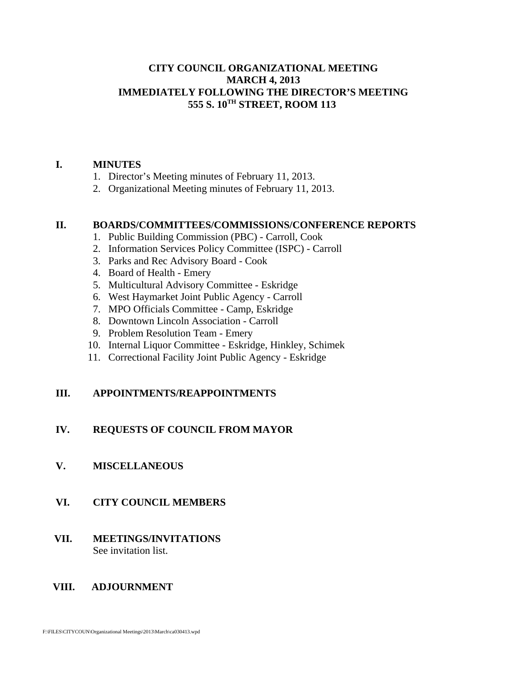#### **CITY COUNCIL ORGANIZATIONAL MEETING MARCH 4, 2013 IMMEDIATELY FOLLOWING THE DIRECTOR'S MEETING 555 S. 10TH STREET, ROOM 113**

#### **I. MINUTES**

- 1. Director's Meeting minutes of February 11, 2013.
- 2. Organizational Meeting minutes of February 11, 2013.

#### **II. BOARDS/COMMITTEES/COMMISSIONS/CONFERENCE REPORTS**

- 1. Public Building Commission (PBC) Carroll, Cook
- 2. Information Services Policy Committee (ISPC) Carroll
- 3. Parks and Rec Advisory Board Cook
- 4. Board of Health Emery
- 5. Multicultural Advisory Committee Eskridge
- 6. West Haymarket Joint Public Agency Carroll
- 7. MPO Officials Committee Camp, Eskridge
- 8. Downtown Lincoln Association Carroll
- 9. Problem Resolution Team Emery
- 10. Internal Liquor Committee Eskridge, Hinkley, Schimek
- 11. Correctional Facility Joint Public Agency Eskridge

#### **III. APPOINTMENTS/REAPPOINTMENTS**

#### **IV. REQUESTS OF COUNCIL FROM MAYOR**

#### **V. MISCELLANEOUS**

#### **VI. CITY COUNCIL MEMBERS**

 **VII. MEETINGS/INVITATIONS** See invitation list.

#### **VIII. ADJOURNMENT**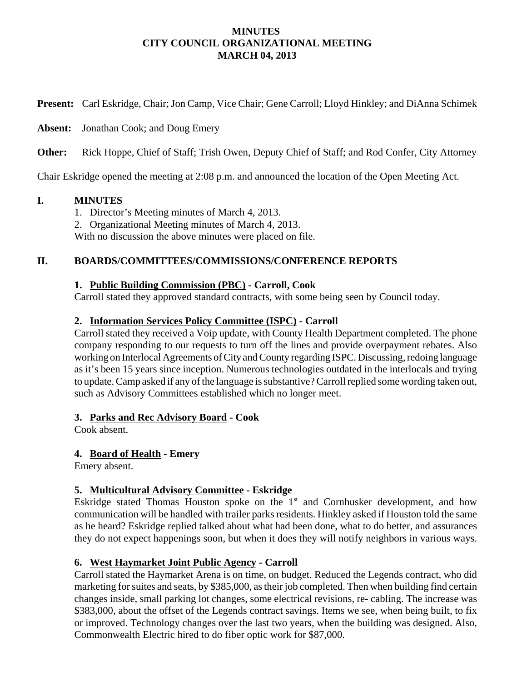#### **MINUTES CITY COUNCIL ORGANIZATIONAL MEETING MARCH 04, 2013**

**Present:** Carl Eskridge, Chair; Jon Camp, Vice Chair; Gene Carroll; Lloyd Hinkley; and DiAnna Schimek

**Absent:** Jonathan Cook; and Doug Emery

**Other:** Rick Hoppe, Chief of Staff; Trish Owen, Deputy Chief of Staff; and Rod Confer, City Attorney

Chair Eskridge opened the meeting at 2:08 p.m. and announced the location of the Open Meeting Act.

#### **I. MINUTES**

- 1. Director's Meeting minutes of March 4, 2013.
- 2. Organizational Meeting minutes of March 4, 2013.

With no discussion the above minutes were placed on file.

#### **II. BOARDS/COMMITTEES/COMMISSIONS/CONFERENCE REPORTS**

#### **1. Public Building Commission (PBC) - Carroll, Cook**

Carroll stated they approved standard contracts, with some being seen by Council today.

## **2. Information Services Policy Committee (ISPC) - Carroll**

Carroll stated they received a Voip update, with County Health Department completed. The phone company responding to our requests to turn off the lines and provide overpayment rebates. Also working on Interlocal Agreements of City and County regarding ISPC. Discussing, redoing language as it's been 15 years since inception. Numerous technologies outdated in the interlocals and trying to update. Camp asked if any of the language is substantive? Carroll replied some wording taken out, such as Advisory Committees established which no longer meet.

#### **3. Parks and Rec Advisory Board - Cook**

Cook absent.

#### **4. Board of Health - Emery**

Emery absent.

# **5. Multicultural Advisory Committee - Eskridge**

Eskridge stated Thomas Houston spoke on the  $1<sup>st</sup>$  and Cornhusker development, and how communication will be handled with trailer parks residents. Hinkley asked if Houston told the same as he heard? Eskridge replied talked about what had been done, what to do better, and assurances they do not expect happenings soon, but when it does they will notify neighbors in various ways.

#### **6. West Haymarket Joint Public Agency - Carroll**

Carroll stated the Haymarket Arena is on time, on budget. Reduced the Legends contract, who did marketing for suites and seats, by \$385,000, as their job completed. Then when building find certain changes inside, small parking lot changes, some electrical revisions, re- cabling. The increase was \$383,000, about the offset of the Legends contract savings. Items we see, when being built, to fix or improved. Technology changes over the last two years, when the building was designed. Also, Commonwealth Electric hired to do fiber optic work for \$87,000.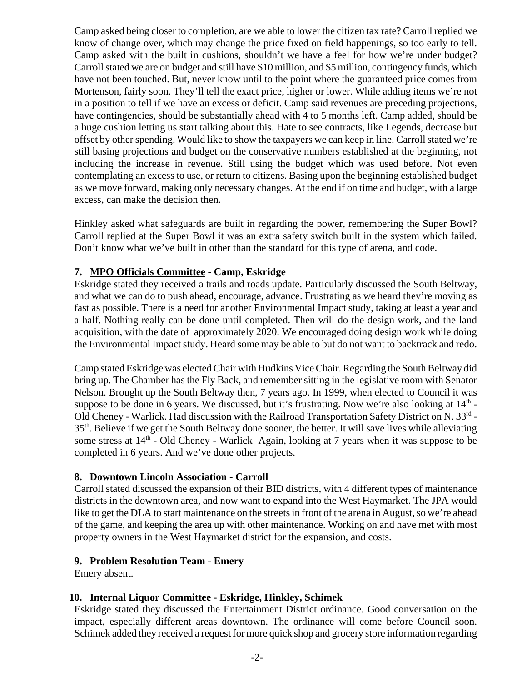Camp asked being closer to completion, are we able to lower the citizen tax rate? Carroll replied we know of change over, which may change the price fixed on field happenings, so too early to tell. Camp asked with the built in cushions, shouldn't we have a feel for how we're under budget? Carroll stated we are on budget and still have \$10 million, and \$5 million, contingency funds, which have not been touched. But, never know until to the point where the guaranteed price comes from Mortenson, fairly soon. They'll tell the exact price, higher or lower. While adding items we're not in a position to tell if we have an excess or deficit. Camp said revenues are preceding projections, have contingencies, should be substantially ahead with 4 to 5 months left. Camp added, should be a huge cushion letting us start talking about this. Hate to see contracts, like Legends, decrease but offset by other spending. Would like to show the taxpayers we can keep in line. Carroll stated we're still basing projections and budget on the conservative numbers established at the beginning, not including the increase in revenue. Still using the budget which was used before. Not even contemplating an excess to use, or return to citizens. Basing upon the beginning established budget as we move forward, making only necessary changes. At the end if on time and budget, with a large excess, can make the decision then.

Hinkley asked what safeguards are built in regarding the power, remembering the Super Bowl? Carroll replied at the Super Bowl it was an extra safety switch built in the system which failed. Don't know what we've built in other than the standard for this type of arena, and code.

## **7. MPO Officials Committee - Camp, Eskridge**

Eskridge stated they received a trails and roads update. Particularly discussed the South Beltway, and what we can do to push ahead, encourage, advance. Frustrating as we heard they're moving as fast as possible. There is a need for another Environmental Impact study, taking at least a year and a half. Nothing really can be done until completed. Then will do the design work, and the land acquisition, with the date of approximately 2020. We encouraged doing design work while doing the Environmental Impact study. Heard some may be able to but do not want to backtrack and redo.

Camp stated Eskridge was elected Chair with Hudkins Vice Chair. Regarding the South Beltway did bring up. The Chamber has the Fly Back, and remember sitting in the legislative room with Senator Nelson. Brought up the South Beltway then, 7 years ago. In 1999, when elected to Council it was suppose to be done in 6 years. We discussed, but it's frustrating. Now we're also looking at  $14<sup>th</sup>$  -Old Cheney - Warlick. Had discussion with the Railroad Transportation Safety District on N. 33<sup>rd</sup> -35th. Believe if we get the South Beltway done sooner, the better. It will save lives while alleviating some stress at  $14<sup>th</sup>$  - Old Cheney - Warlick Again, looking at 7 years when it was suppose to be completed in 6 years. And we've done other projects.

#### **8. Downtown Lincoln Association - Carroll**

Carroll stated discussed the expansion of their BID districts, with 4 different types of maintenance districts in the downtown area, and now want to expand into the West Haymarket. The JPA would like to get the DLA to start maintenance on the streets in front of the arena in August, so we're ahead of the game, and keeping the area up with other maintenance. Working on and have met with most property owners in the West Haymarket district for the expansion, and costs.

#### **9. Problem Resolution Team - Emery**

Emery absent.

#### **10. Internal Liquor Committee - Eskridge, Hinkley, Schimek**

Eskridge stated they discussed the Entertainment District ordinance. Good conversation on the impact, especially different areas downtown. The ordinance will come before Council soon. Schimek added they received a request for more quick shop and grocery store information regarding